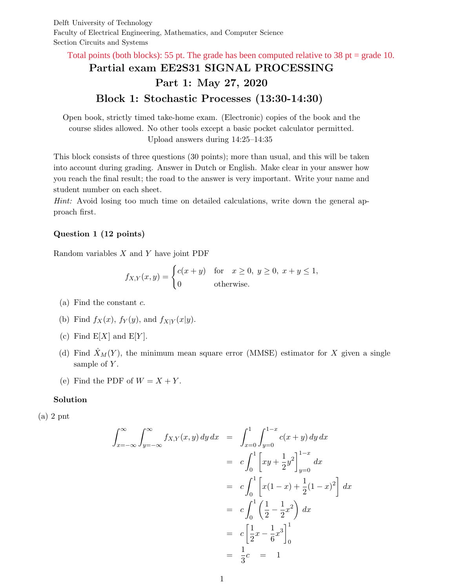Delft University of Technology Faculty of Electrical Engineering, Mathematics, and Computer Science Section Circuits and Systems

Total points (both blocks): 55 pt. The grade has been computed relative to 38 pt = grade 10.

# Partial exam EE2S31 SIGNAL PROCESSING Part 1: May 27, 2020 Block 1: Stochastic Processes (13:30-14:30)

Open book, strictly timed take-home exam. (Electronic) copies of the book and the course slides allowed. No other tools except a basic pocket calculator permitted. Upload answers during 14:25–14:35

This block consists of three questions (30 points); more than usual, and this will be taken into account during grading. Answer in Dutch or English. Make clear in your answer how you reach the final result; the road to the answer is very important. Write your name and student number on each sheet.

Hint: Avoid losing too much time on detailed calculations, write down the general approach first.

## Question 1 (12 points)

Random variables  $X$  and  $Y$  have joint PDF

$$
f_{X,Y}(x,y) = \begin{cases} c(x+y) & \text{for } x \ge 0, y \ge 0, x+y \le 1, \\ 0 & \text{otherwise.} \end{cases}
$$

- (a) Find the constant  $c$ .
- (b) Find  $f_X(x)$ ,  $f_Y(y)$ , and  $f_{X|Y}(x|y)$ .
- (c) Find  $E[X]$  and  $E[Y]$ .
- (d) Find  $\hat{X}_M(Y)$ , the minimum mean square error (MMSE) estimator for X given a single sample of  $Y$ .
- (e) Find the PDF of  $W = X + Y$ .

### Solution

(a) 2 pnt

$$
\int_{x=-\infty}^{\infty} \int_{y=-\infty}^{\infty} f_{X,Y}(x,y) \, dy \, dx = \int_{x=0}^{1} \int_{y=0}^{1-x} c(x+y) \, dy \, dx
$$

$$
= c \int_{0}^{1} \left[ xy + \frac{1}{2}y^{2} \right]_{y=0}^{1-x} dx
$$

$$
= c \int_{0}^{1} \left[ x(1-x) + \frac{1}{2}(1-x)^{2} \right] dx
$$

$$
= c \int_{0}^{1} \left( \frac{1}{2} - \frac{1}{2}x^{2} \right) dx
$$

$$
= c \left[ \frac{1}{2}x - \frac{1}{6}x^{3} \right]_{0}^{1}
$$

$$
= \frac{1}{3}c = 1
$$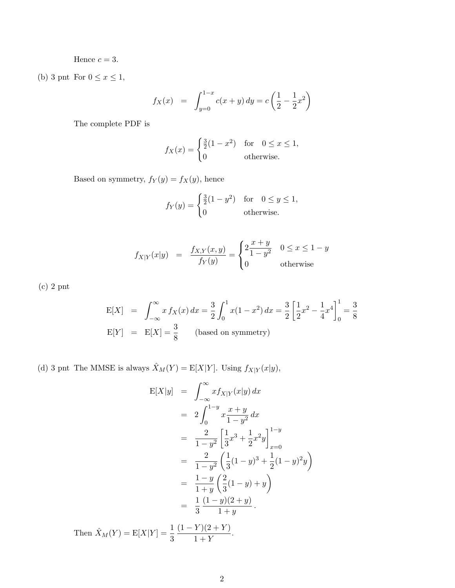Hence  $c = 3$ .

(b) 3 pnt For  $0 \le x \le 1$ ,

$$
f_X(x) = \int_{y=0}^{1-x} c(x+y) \, dy = c \left(\frac{1}{2} - \frac{1}{2}x^2\right)
$$

The complete PDF is

$$
f_X(x) = \begin{cases} \frac{3}{2}(1-x^2) & \text{for } 0 \le x \le 1, \\ 0 & \text{otherwise.} \end{cases}
$$

Based on symmetry,  $f_Y(y) = f_X(y)$ , hence

$$
f_Y(y) = \begin{cases} \frac{3}{2}(1-y^2) & \text{for } 0 \le y \le 1, \\ 0 & \text{otherwise.} \end{cases}
$$

$$
f_{X|Y}(x|y) = \frac{f_{X,Y}(x,y)}{f_Y(y)} = \begin{cases} 2\frac{x+y}{1-y^2} & 0 \le x \le 1-y\\ 0 & \text{otherwise} \end{cases}
$$

(c) 2 pnt

$$
E[X] = \int_{-\infty}^{\infty} x f_X(x) dx = \frac{3}{2} \int_0^1 x(1 - x^2) dx = \frac{3}{2} \left[ \frac{1}{2} x^2 - \frac{1}{4} x^4 \right]_0^1 = \frac{3}{8}
$$
  
\n
$$
E[Y] = E[X] = \frac{3}{8} \qquad \text{(based on symmetry)}
$$

(d) 3 pnt The MMSE is always  $\hat{X}_M(Y) = \mathbb{E}[X|Y]$ . Using  $f_{X|Y}(x|y)$ ,

$$
E[X|y] = \int_{-\infty}^{\infty} x f_{X|Y}(x|y) dx
$$
  
\n
$$
= 2 \int_{0}^{1-y} x \frac{x+y}{1-y^2} dx
$$
  
\n
$$
= \frac{2}{1-y^2} \left[ \frac{1}{3} x^3 + \frac{1}{2} x^2 y \right]_{x=0}^{1-y}
$$
  
\n
$$
= \frac{2}{1-y^2} \left( \frac{1}{3} (1-y)^3 + \frac{1}{2} (1-y)^2 y \right)
$$
  
\n
$$
= \frac{1-y}{1+y} \left( \frac{2}{3} (1-y) + y \right)
$$
  
\n
$$
= \frac{1}{3} \frac{(1-y)(2+y)}{1+y}.
$$

Then  $\hat{X}_M(Y) = E[X|Y] = \frac{1}{3}$  $(1 - Y)(2 + Y)$  $\frac{1}{1+Y}$ .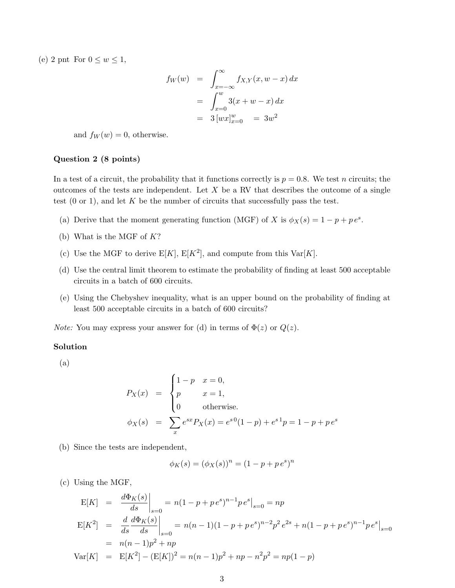(e) 2 pnt For  $0 \leq w \leq 1$ ,

$$
f_W(w) = \int_{x=-\infty}^{\infty} f_{X,Y}(x, w - x) dx
$$
  
= 
$$
\int_{x=0}^{w} 3(x + w - x) dx
$$
  
= 
$$
3 [wx]_{x=0}^{w} = 3w^2
$$

and  $f_W(w) = 0$ , otherwise.

### Question 2 (8 points)

In a test of a circuit, the probability that it functions correctly is  $p = 0.8$ . We test n circuits; the outcomes of the tests are independent. Let  $X$  be a RV that describes the outcome of a single test  $(0 \text{ or } 1)$ , and let K be the number of circuits that successfully pass the test.

- (a) Derive that the moment generating function (MGF) of X is  $\phi_X(s) = 1 p + p e^s$ .
- (b) What is the MGF of  $K?$
- (c) Use the MGF to derive  $E[K]$ ,  $E[K^2]$ , and compute from this  $Var[K]$ .
- (d) Use the central limit theorem to estimate the probability of finding at least 500 acceptable circuits in a batch of 600 circuits.
- (e) Using the Chebyshev inequality, what is an upper bound on the probability of finding at least 500 acceptable circuits in a batch of 600 circuits?

*Note:* You may express your answer for (d) in terms of  $\Phi(z)$  or  $Q(z)$ .

### Solution

(a)

$$
P_X(x) = \begin{cases} 1-p & x = 0, \\ p & x = 1, \\ 0 & \text{otherwise.} \end{cases}
$$
  

$$
\phi_X(s) = \sum_x e^{sx} P_X(x) = e^{s0} (1-p) + e^{s1} p = 1 - p + p e^{s}
$$

(b) Since the tests are independent,

$$
\phi_K(s) = (\phi_X(s))^n = (1 - p + p e^s)^n
$$

(c) Using the MGF,

$$
E[K] = \frac{d\Phi_K(s)}{ds}\Big|_{s=0} = n(1 - p + pe^s)^{n-1}pe^s\Big|_{s=0} = np
$$
  
\n
$$
E[K^2] = \frac{d}{ds}\frac{d\Phi_K(s)}{ds}\Big|_{s=0} = n(n-1)(1 - p + pe^s)^{n-2}p^2e^{2s} + n(1 - p + pe^s)^{n-1}pe^s\Big|_{s=0}
$$
  
\n
$$
= n(n-1)p^2 + np
$$
  
\n
$$
Var[K] = E[K^2] - (E[K])^2 = n(n-1)p^2 + np - n^2p^2 = np(1 - p)
$$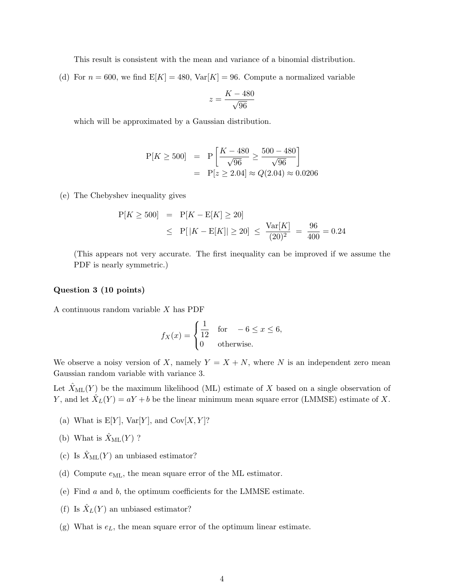This result is consistent with the mean and variance of a binomial distribution.

(d) For  $n = 600$ , we find  $E[K] = 480$ ,  $Var[K] = 96$ . Compute a normalized variable

$$
z = \frac{K - 480}{\sqrt{96}}
$$

which will be approximated by a Gaussian distribution.

$$
P[K \ge 500] = P\left[\frac{K - 480}{\sqrt{96}} \ge \frac{500 - 480}{\sqrt{96}}\right]
$$
  
=  $P[z \ge 2.04] \approx Q(2.04) \approx 0.0206$ 

(e) The Chebyshev inequality gives

$$
P[K \ge 500] = P[K - E[K] \ge 20]
$$
  
\n
$$
\le P[|K - E[K]| \ge 20] \le \frac{\text{Var}[K]}{(20)^2} = \frac{96}{400} = 0.24
$$

(This appears not very accurate. The first inequality can be improved if we assume the PDF is nearly symmetric.)

### Question 3 (10 points)

A continuous random variable X has PDF

$$
f_X(x) = \begin{cases} \frac{1}{12} & \text{for } -6 \le x \le 6, \\ 0 & \text{otherwise.} \end{cases}
$$

We observe a noisy version of X, namely  $Y = X + N$ , where N is an independent zero mean Gaussian random variable with variance 3.

Let  $X_{ML}(Y)$  be the maximum likelihood (ML) estimate of X based on a single observation of Y, and let  $\hat{X}_L(Y) = aY + b$  be the linear minimum mean square error (LMMSE) estimate of X.

- (a) What is  $E[Y]$ ,  $Var[Y]$ , and  $Cov[X, Y]$ ?
- (b) What is  $\hat{X}_{\text{ML}}(Y)$  ?
- (c) Is  $\hat{X}_{\text{ML}}(Y)$  an unbiased estimator?
- (d) Compute  $e_{ML}$ , the mean square error of the ML estimator.
- (e) Find a and b, the optimum coefficients for the LMMSE estimate.
- (f) Is  $\hat{X}_L(Y)$  an unbiased estimator?
- (g) What is  $e<sub>L</sub>$ , the mean square error of the optimum linear estimate.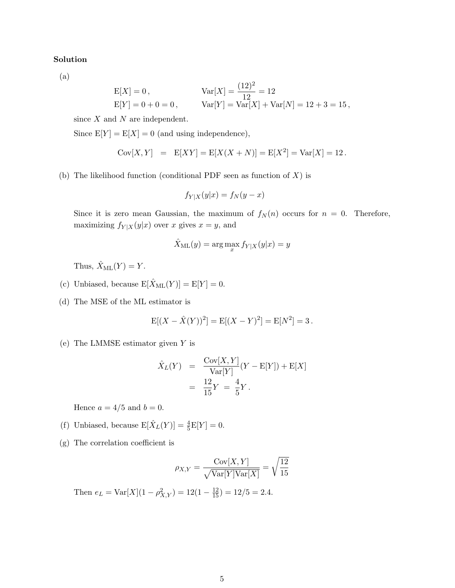### Solution

(a)

$$
E[X] = 0, \t Var[X] = \frac{(12)^2}{12} = 12
$$
  
 
$$
E[Y] = 0 + 0 = 0, \t Var[Y] = Var[X] + Var[N] = 12 + 3 = 15,
$$

since  $X$  and  $N$  are independent.

Since  $E[Y] = E[X] = 0$  (and using independence),

$$
Cov[X, Y] = E[XY] = E[X(X + N)] = E[X2] = Var[X] = 12.
$$

(b) The likelihood function (conditional PDF seen as function of  $X$ ) is

$$
f_{Y|X}(y|x) = f_N(y - x)
$$

Since it is zero mean Gaussian, the maximum of  $f_N(n)$  occurs for  $n = 0$ . Therefore, maximizing  $f_{Y|X}(y|x)$  over x gives  $x = y$ , and

$$
\hat{X}_{\text{ML}}(y) = \arg\max_{x} f_{Y|X}(y|x) = y
$$

Thus,  $\hat{X}_{ML}(Y) = Y$ .

- (c) Unbiased, because  $E[\hat{X}_{ML}(Y)] = E[Y] = 0$ .
- (d) The MSE of the ML estimator is

$$
E[(X - \hat{X}(Y))^2] = E[(X - Y)^2] = E[N^2] = 3.
$$

(e) The LMMSE estimator given Y is

$$
\hat{X}_L(Y) = \frac{\text{Cov}[X, Y]}{\text{Var}[Y]} (Y - \text{E}[Y]) + \text{E}[X] \n= \frac{12}{15}Y = \frac{4}{5}Y.
$$

Hence  $a = 4/5$  and  $b = 0$ .

- (f) Unbiased, because  $E[\hat{X}_L(Y)] = \frac{4}{5}E[Y] = 0.$
- (g) The correlation coefficient is

$$
\rho_{X,Y} = \frac{\text{Cov}[X,Y]}{\sqrt{\text{Var}[Y]\text{Var}[X]}} = \sqrt{\frac{12}{15}}
$$

Then  $e_L = \text{Var}[X](1 - \rho_{X,Y}^2) = 12(1 - \frac{12}{15}) = 12/5 = 2.4.$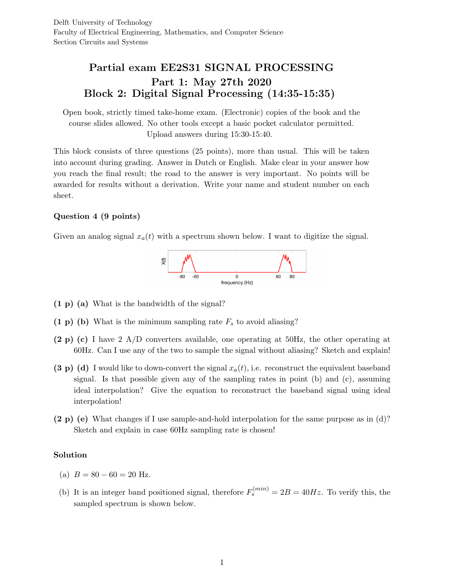## Partial exam EE2S31 SIGNAL PROCESSING Part 1: May 27th 2020 Block 2: Digital Signal Processing (14:35-15:35)

Open book, strictly timed take-home exam. (Electronic) copies of the book and the course slides allowed. No other tools except a basic pocket calculator permitted. Upload answers during 15:30-15:40.

This block consists of three questions (25 points), more than usual. This will be taken into account during grading. Answer in Dutch or English. Make clear in your answer how you reach the final result; the road to the answer is very important. No points will be awarded for results without a derivation. Write your name and student number on each sheet.

## Question 4 (9 points)

Given an analog signal  $x_a(t)$  with a spectrum shown below. I want to digitize the signal.



- (1 p) (a) What is the bandwidth of the signal?
- $(1 \text{ p})$  (b) What is the minimum sampling rate  $F_s$  to avoid aliasing?
- (2 p) (c) I have 2 A/D converters available, one operating at 50Hz, the other operating at 60Hz. Can I use any of the two to sample the signal without aliasing? Sketch and explain!
- (3 p) (d) I would like to down-convert the signal  $x_a(t)$ , i.e. reconstruct the equivalent baseband signal. Is that possible given any of the sampling rates in point (b) and (c), assuming ideal interpolation? Give the equation to reconstruct the baseband signal using ideal interpolation!
- (2 p) (e) What changes if I use sample-and-hold interpolation for the same purpose as in (d)? Sketch and explain in case 60Hz sampling rate is chosen!

### Solution

- (a)  $B = 80 60 = 20$  Hz.
- (b) It is an integer band positioned signal, therefore  $F_s^{(min)} = 2B = 40Hz$ . To verify this, the sampled spectrum is shown below.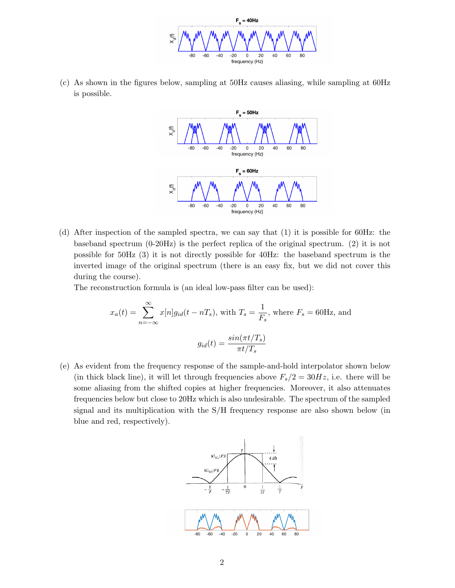

(c) As shown in the figures below, sampling at 50Hz causes aliasing, while sampling at 60Hz is possible.



(d) After inspection of the sampled spectra, we can say that (1) it is possible for 60Hz: the baseband spectrum (0-20Hz) is the perfect replica of the original spectrum. (2) it is not possible for 50Hz (3) it is not directly possible for 40Hz: the baseband spectrum is the inverted image of the original spectrum (there is an easy fix, but we did not cover this during the course).

The reconstruction formula is (an ideal low-pass filter can be used):

$$
x_a(t) = \sum_{n = -\infty}^{\infty} x[n]g_{id}(t - nT_s),
$$
 with  $T_s = \frac{1}{F_s}$ , where  $F_s = 60$ Hz, and  

$$
g_{id}(t) = \frac{\sin(\pi t/T_s)}{\pi t/T_s}
$$

(e) As evident from the frequency response of the sample-and-hold interpolator shown below (in thick black line), it will let through frequencies above  $F_s/2 = 30Hz$ , i.e. there will be some aliasing from the shifted copies at higher frequencies. Moreover, it also attenuates frequencies below but close to 20Hz which is also undesirable. The spectrum of the sampled signal and its multiplication with the S/H frequency response are also shown below (in blue and red, respectively).

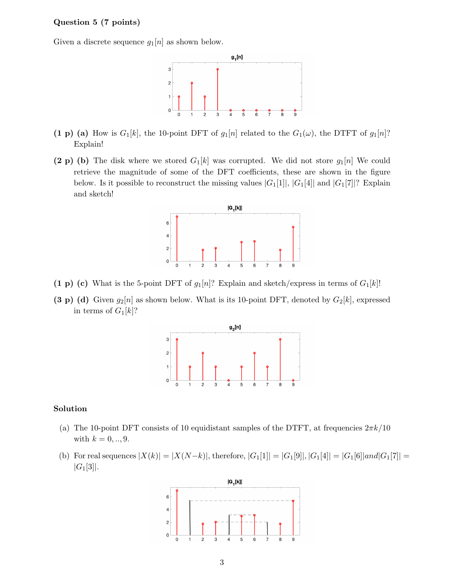### Question 5 (7 points)

Given a discrete sequence  $g_1[n]$  as shown below.



- (1 p) (a) How is  $G_1[k]$ , the 10-point DFT of  $g_1[n]$  related to the  $G_1(\omega)$ , the DTFT of  $g_1[n]$ ? Explain!
- (2 p) (b) The disk where we stored  $G_1[k]$  was corrupted. We did not store  $g_1[n]$  We could retrieve the magnitude of some of the DFT coefficients, these are shown in the figure below. Is it possible to reconstruct the missing values  $|G_1[1]|, |G_1[4]|$  and  $|G_1[7]|$ ? Explain and sketch!



- (1 p) (c) What is the 5-point DFT of  $g_1[n]$ ? Explain and sketch/express in terms of  $G_1[k]$ !
- (3 p) (d) Given  $g_2[n]$  as shown below. What is its 10-point DFT, denoted by  $G_2[k]$ , expressed in terms of  $G_1[k]$ ?



## Solution

- (a) The 10-point DFT consists of 10 equidistant samples of the DTFT, at frequencies  $2\pi k/10$ with  $k = 0, ..., 9$ .
- (b) For real sequences  $|X(k)| = |X(N-k)|$ , therefore,  $|G_1[1]| = |G_1[9]|$ ,  $|G_1[4]| = |G_1[6]|and|G_1[7]| =$  $|G_1[3]|.$

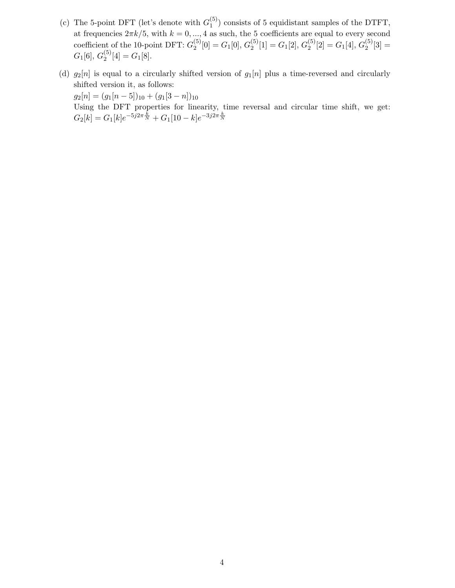- (c) The 5-point DFT (let's denote with  $G_1^{(5)}$  $_1^{(5)}$ ) consists of 5 equidistant samples of the DTFT, at frequencies  $2\pi k/5$ , with  $k = 0, ..., 4$  as such, the 5 coefficients are equal to every second coefficient of the 10-point DFT:  $G_2^{(5)}$  $\binom{5}{2}[0] = G_1[0], G_2^{(5)}$  $\binom{5}{2}[1] = G_1[2], G_2^{(5)}$  $\binom{5}{2}[2] = G_1[4], G_2^{(5)}$  $2^{(3)}[3] =$  $G_1[6],\,G_2^{(5)}$  $\binom{5}{2}[4] = G_1[8].$
- (d)  $g_2[n]$  is equal to a circularly shifted version of  $g_1[n]$  plus a time-reversed and circularly shifted version it, as follows:

 $g_2[n] = (g_1[n-5])_{10} + (g_1[3-n])_{10}$ 

Using the DFT properties for linearity, time reversal and circular time shift, we get:  $G_2[k] = G_1[k]e^{-5j2\pi\frac{k}{N}} + G_1[10-k]e^{-3j2\pi\frac{k}{N}}$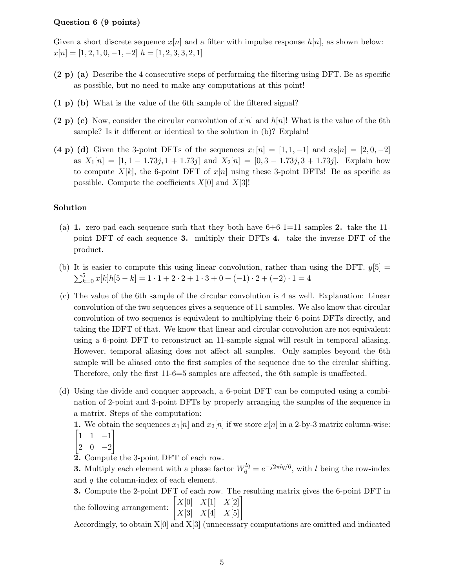### Question 6 (9 points)

Given a short discrete sequence  $x[n]$  and a filter with impulse response  $h[n]$ , as shown below:  $x[n] = [1, 2, 1, 0, -1, -2]$   $h = [1, 2, 3, 3, 2, 1]$ 

- (2 p) (a) Describe the 4 consecutive steps of performing the filtering using DFT. Be as specific as possible, but no need to make any computations at this point!
- (1 p) (b) What is the value of the 6th sample of the filtered signal?
- (2 p) (c) Now, consider the circular convolution of  $x[n]$  and  $h[n]$ ! What is the value of the 6th sample? Is it different or identical to the solution in (b)? Explain!
- (4 p) (d) Given the 3-point DFTs of the sequences  $x_1[n] = [1, 1, -1]$  and  $x_2[n] = [2, 0, -2]$ as  $X_1[n] = [1, 1 - 1.73j, 1 + 1.73j]$  and  $X_2[n] = [0, 3 - 1.73j, 3 + 1.73j]$ . Explain how to compute  $X[k]$ , the 6-point DFT of  $x[n]$  using these 3-point DFTs! Be as specific as possible. Compute the coefficients  $X[0]$  and  $X[3]$ !

### Solution

- (a) 1. zero-pad each sequence such that they both have  $6+6-1=11$  samples 2. take the 11point DFT of each sequence 3. multiply their DFTs 4. take the inverse DFT of the product.
- (b) It is easier to compute this using linear convolution, rather than using the DFT.  $y[5] =$  $\sum_{k=0}^{5} x[k]h[5-k] = 1 \cdot 1 + 2 \cdot 2 + 1 \cdot 3 + 0 + (-1) \cdot 2 + (-2) \cdot 1 = 4$
- (c) The value of the 6th sample of the circular convolution is 4 as well. Explanation: Linear convolution of the two sequences gives a sequence of 11 samples. We also know that circular convolution of two sequencs is equivalent to multiplying their 6-point DFTs directly, and taking the IDFT of that. We know that linear and circular convolution are not equivalent: using a 6-point DFT to reconstruct an 11-sample signal will result in temporal aliasing. However, temporal aliasing does not affect all samples. Only samples beyond the 6th sample will be aliased onto the first samples of the sequence due to the circular shifting. Therefore, only the first 11-6=5 samples are affected, the 6th sample is unaffected.
- (d) Using the divide and conquer approach, a 6-point DFT can be computed using a combination of 2-point and 3-point DFTs by properly arranging the samples of the sequence in a matrix. Steps of the computation:
	- 1. We obtain the sequences  $x_1[n]$  and  $x_2[n]$  if we store  $x[n]$  in a 2-by-3 matrix column-wise:  $\begin{bmatrix} 1 & 1 & -1 \end{bmatrix}$
	- $\begin{vmatrix} 2 & 0 & -2 \end{vmatrix}$
	- 2. Compute the 3-point DFT of each row.

**3.** Multiply each element with a phase factor  $W_6^{lq} = e^{-j2\pi lq/6}$ , with l being the row-index and q the column-index of each element.

3. Compute the 2-point DFT of each row. The resulting matrix gives the 6-point DFT in the following arrangement:  $\begin{bmatrix} X[0] & X[1] & X[2] \\ X[3] & X[4] & X[5] \end{bmatrix}$ 

Accordingly, to obtain X[0] and X[3] (unnecessary computations are omitted and indicated